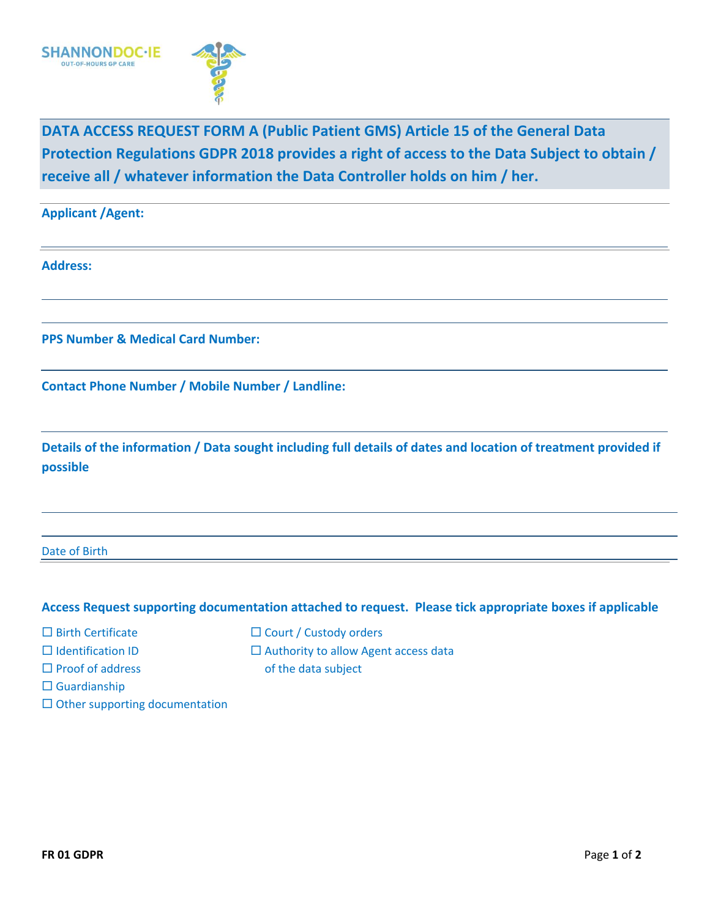

**DATA ACCESS REQUEST FORM A (Public Patient GMS) Article 15 of the General Data Protection Regulations GDPR 2018 provides a right of access to the Data Subject to obtain / receive all / whatever information the Data Controller holds on him / her.**

| <b>Applicant / Agent:</b> |  |
|---------------------------|--|
|---------------------------|--|

**Address:**

**PPS Number & Medical Card Number:**

**Contact Phone Number / Mobile Number / Landline:**

**Details of the information / Data sought including full details of dates and location of treatment provided if possible**

Date of Birth

## **Access Request supporting documentation attached to request. Please tick appropriate boxes if applicable**

- 
- 
- 
- Guardianship
- $\square$  Other supporting documentation
- $\Box$  Birth Certificate  $\Box$  Court / Custody orders
- $\square$  Identification ID  $\square$  Authority to allow Agent access data
- $\square$  Proof of address of the data subject